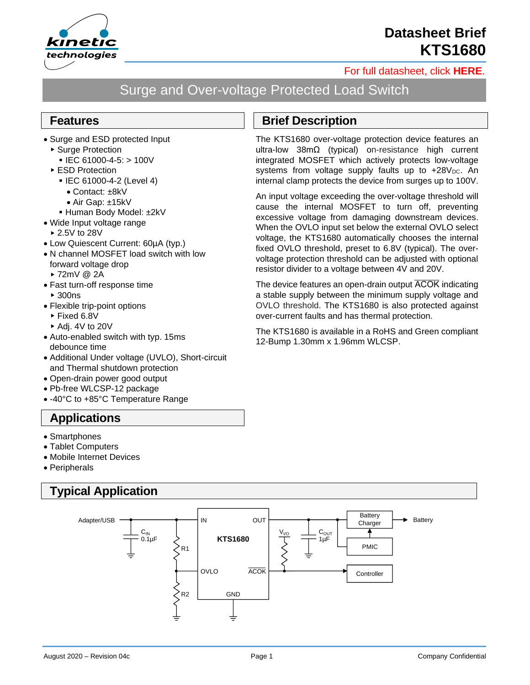

**Datasheet Brief KTS1680**

#### [For full datasheet, click](https://www.kinet-ic.com/sample-buy/request-document/?part=KTS1680%20Full%20Datasheet) **HERE**.

# Surge and Over-voltage Protected Load Switch

#### **Features**

- Surge and ESD protected Input
	- ▶ Surge Protection
		- $\blacksquare$  IEC 61000-4-5: > 100V
	- ▶ ESD Protection
		- IEC 61000-4-2 (Level 4)
			- Contact: ±8kV
		- Air Gap: ±15kV
		- Human Body Model: ±2kV
- Wide Input voltage range
- ▶ 2.5V to 28V
- Low Quiescent Current: 60µA (typ.)
- N channel MOSFET load switch with low forward voltage drop
	- 72mV @ 2A
- Fast turn-off response time ► 300ns
- Flexible trip-point options
	- ► Fixed 6.8V
	- $\blacktriangleright$  Adi. 4V to 20V
- Auto-enabled switch with typ. 15ms debounce time
- Additional Under voltage (UVLO), Short-circuit and Thermal shutdown protection
- Open-drain power good output
- Pb-free WLCSP-12 package
- -40°C to +85°C Temperature Range

### **Applications**

- Smartphones
- Tablet Computers
- Mobile Internet Devices
- Peripherals

## **Typical Application**



### **Brief Description**

The KTS1680 over-voltage protection device features an ultra-low 38mΩ (typical) on-resistance high current integrated MOSFET which actively protects low-voltage systems from voltage supply faults up to  $+28V_{DC}$ . An internal clamp protects the device from surges up to 100V.

An input voltage exceeding the over-voltage threshold will cause the internal MOSFET to turn off, preventing excessive voltage from damaging downstream devices. When the OVLO input set below the external OVLO select voltage, the KTS1680 automatically chooses the internal fixed OVLO threshold, preset to 6.8V (typical). The overvoltage protection threshold can be adjusted with optional resistor divider to a voltage between 4V and 20V.

The device features an open-drain output  $\overline{ACOK}$  indicating a stable supply between the minimum supply voltage and OVLO threshold. The KTS1680 is also protected against over-current faults and has thermal protection.

The KTS1680 is available in a RoHS and Green compliant 12-Bump 1.30mm x 1.96mm WLCSP.